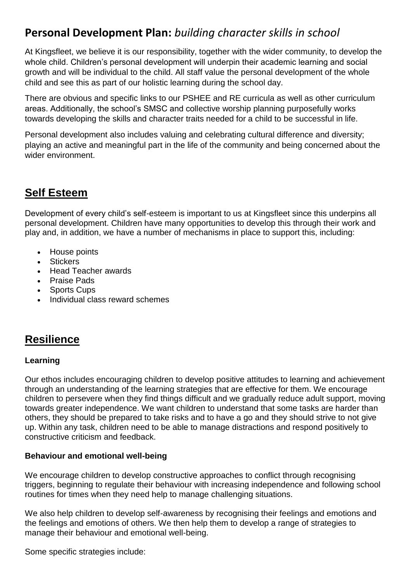# **Personal Development Plan:** *building character skills in school*

At Kingsfleet, we believe it is our responsibility, together with the wider community, to develop the whole child. Children's personal development will underpin their academic learning and social growth and will be individual to the child. All staff value the personal development of the whole child and see this as part of our holistic learning during the school day.

There are obvious and specific links to our PSHEE and RE curricula as well as other curriculum areas. Additionally, the school's SMSC and collective worship planning purposefully works towards developing the skills and character traits needed for a child to be successful in life.

Personal development also includes valuing and celebrating cultural difference and diversity; playing an active and meaningful part in the life of the community and being concerned about the wider environment.

### **Self Esteem**

Development of every child's self-esteem is important to us at Kingsfleet since this underpins all personal development. Children have many opportunities to develop this through their work and play and, in addition, we have a number of mechanisms in place to support this, including:

- House points
- **Stickers**
- Head Teacher awards
- Praise Pads
- Sports Cups
- Individual class reward schemes

## **Resilience**

### **Learning**

Our ethos includes encouraging children to develop positive attitudes to learning and achievement through an understanding of the learning strategies that are effective for them. We encourage children to persevere when they find things difficult and we gradually reduce adult support, moving towards greater independence. We want children to understand that some tasks are harder than others, they should be prepared to take risks and to have a go and they should strive to not give up. Within any task, children need to be able to manage distractions and respond positively to constructive criticism and feedback.

#### **Behaviour and emotional well-being**

We encourage children to develop constructive approaches to conflict through recognising triggers, beginning to regulate their behaviour with increasing independence and following school routines for times when they need help to manage challenging situations.

We also help children to develop self-awareness by recognising their feelings and emotions and the feelings and emotions of others. We then help them to develop a range of strategies to manage their behaviour and emotional well-being.

Some specific strategies include: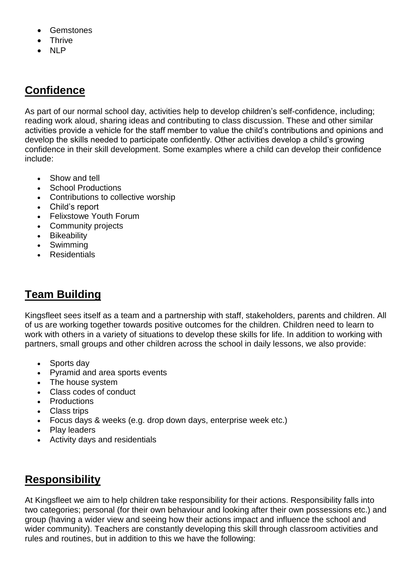- Gemstones
- **Thrive**
- NI<sub>P</sub>

## **Confidence**

As part of our normal school day, activities help to develop children's self-confidence, including; reading work aloud, sharing ideas and contributing to class discussion. These and other similar activities provide a vehicle for the staff member to value the child's contributions and opinions and develop the skills needed to participate confidently. Other activities develop a child's growing confidence in their skill development. Some examples where a child can develop their confidence include:

- Show and tell
- School Productions
- Contributions to collective worship
- Child's report
- Felixstowe Youth Forum
- Community projects
- Bikeability
- Swimming
- Residentials

# **Team Building**

Kingsfleet sees itself as a team and a partnership with staff, stakeholders, parents and children. All of us are working together towards positive outcomes for the children. Children need to learn to work with others in a variety of situations to develop these skills for life. In addition to working with partners, small groups and other children across the school in daily lessons, we also provide:

- Sports day
- Pyramid and area sports events
- The house system
- Class codes of conduct
- Productions
- Class trips
- Focus days & weeks (e.g. drop down days, enterprise week etc.)
- Play leaders
- Activity days and residentials

# **Responsibility**

At Kingsfleet we aim to help children take responsibility for their actions. Responsibility falls into two categories; personal (for their own behaviour and looking after their own possessions etc.) and group (having a wider view and seeing how their actions impact and influence the school and wider community). Teachers are constantly developing this skill through classroom activities and rules and routines, but in addition to this we have the following: